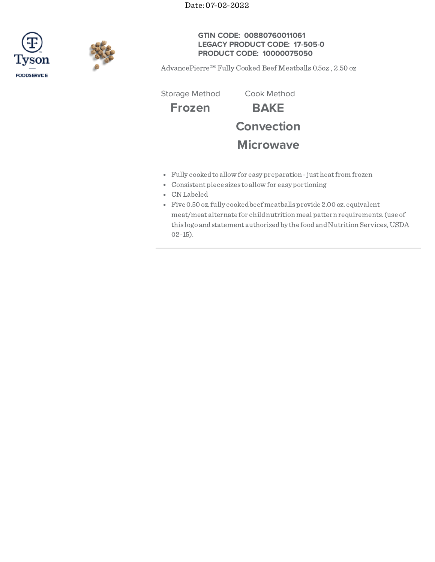Date: 07-02-2022





**GTIN CODE: 00880760011061 LEGACY PRODUCT CODE: 17-505-0 PRODUCT CODE: 10000075050**

AdvancePierre™ Fully Cooked Beef Meatballs 0.5oz , 2.50 oz

Storage Method Cook Method

**Frozen BAKE Convection Microwave**

- Fully cookedto allow for easy preparation -just heatfrom frozen
- Consistent piece sizes to allow for easy portioning
- CN Labeled
- Five 0.50 oz.fully cookedbeef meatballs provide 2.00 oz. equivalent meat/meat alternate for childnutrition meal pattern requirements.(use of this logo and statement authorized by the food and Nutrition Services, USDA 02-15).